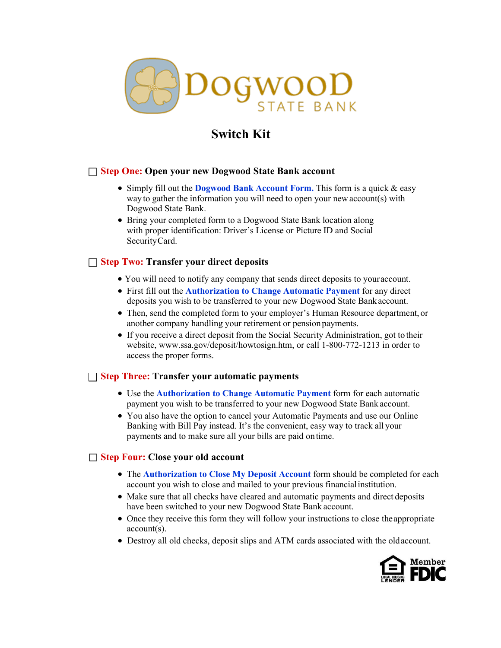

# **Switch Kit**

## □ **Step One: Open your new Dogwood State Bank account**

- Simply fill out the **Dogwood Bank Account Form.** This form is a quick & easy way to gather the information you will need to open your newaccount(s) with Dogwood State Bank.
- Bring your completed form to a Dogwood State Bank location along with proper identification: Driver's License or Picture ID and Social SecurityCard.

### □ **Step Two: Transfer your direct deposits**

- You will need to notify any company that sends direct deposits to youraccount.
- First fill out the **Authorization to Change Automatic Payment** for any direct deposits you wish to be transferred to your new Dogwood State Bankaccount.
- Then, send the completed form to your employer's Human Resource department, or another company handling your retirement or pension payments.
- If you receive a direct deposit from the Social Security Administration, got to their website, [www.ssa.gov/deposit/howtosign.htm, o](http://www.ssa.gov/deposit/howtosign.htm)r call 1-800-772-1213 in order to access the proper forms.

## □ **Step Three: Transfer your automatic payments**

- Use the **Authorization to Change Automatic Payment** form for each automatic payment you wish to be transferred to your new Dogwood State Bank account.
- You also have the option to cancel your Automatic Payments and use our Online Banking with Bill Pay instead. It's the convenient, easy way to track all your payments and to make sure all your bills are paid ontime.

# □ **Step Four: Close your old account**

- The **Authorization to Close My Deposit Account** form should be completed for each account you wish to close and mailed to your previous financialinstitution.
- Make sure that all checks have cleared and automatic payments and direct deposits have been switched to your new Dogwood State Bank account.
- Once they receive this form they will follow your instructions to close the appropriate account(s).
- Destroy all old checks, deposit slips and ATM cards associated with the oldaccount.

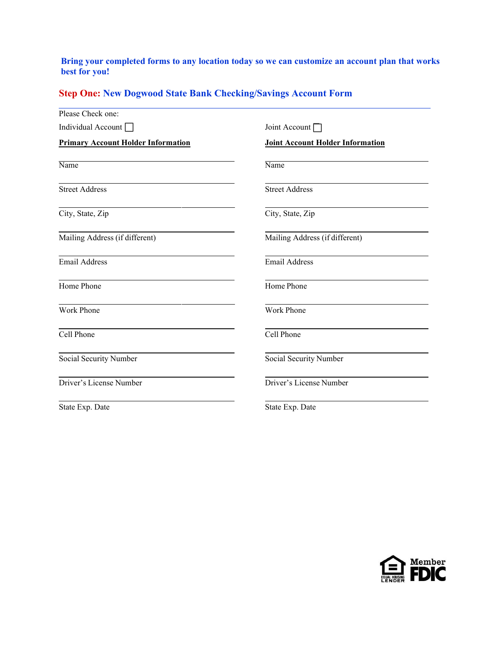## **Bring your completed forms to any location today so we can customize an account plan that works best for you!**

# **Step One: New Dogwood State Bank Checking/Savings Account Form**

| Please Check one:                         |                                         |  |  |
|-------------------------------------------|-----------------------------------------|--|--|
| Individual Account                        | Joint Account $\Box$                    |  |  |
| <b>Primary Account Holder Information</b> | <b>Joint Account Holder Information</b> |  |  |
| Name                                      | Name                                    |  |  |
| <b>Street Address</b>                     | <b>Street Address</b>                   |  |  |
| City, State, Zip                          | City, State, Zip                        |  |  |
| Mailing Address (if different)            | Mailing Address (if different)          |  |  |
| <b>Email Address</b>                      | <b>Email Address</b>                    |  |  |
| Home Phone                                | Home Phone                              |  |  |
| Work Phone                                | Work Phone                              |  |  |
| Cell Phone                                | Cell Phone                              |  |  |
| Social Security Number                    | Social Security Number                  |  |  |
| Driver's License Number                   | Driver's License Number                 |  |  |
| State Exp. Date                           | State Exp. Date                         |  |  |

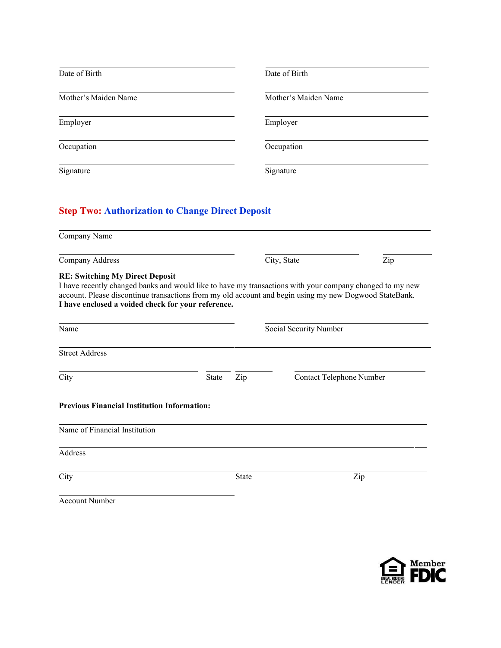| Date of Birth        | Date of Birth        |
|----------------------|----------------------|
| Mother's Maiden Name | Mother's Maiden Name |
| Employer             | Employer             |
| Occupation           | Occupation           |
| Signature            | Signature            |

# **Step Two: Authorization to Change Direct Deposit**

| Company Name                                                                                                                                                                                                                                                                                                       |              |                        |             |                          |
|--------------------------------------------------------------------------------------------------------------------------------------------------------------------------------------------------------------------------------------------------------------------------------------------------------------------|--------------|------------------------|-------------|--------------------------|
| Company Address                                                                                                                                                                                                                                                                                                    |              |                        | City, State | Zip                      |
| <b>RE: Switching My Direct Deposit</b><br>I have recently changed banks and would like to have my transactions with your company changed to my new<br>account. Please discontinue transactions from my old account and begin using my new Dogwood StateBank.<br>I have enclosed a voided check for your reference. |              |                        |             |                          |
| Name                                                                                                                                                                                                                                                                                                               |              | Social Security Number |             |                          |
| <b>Street Address</b>                                                                                                                                                                                                                                                                                              |              |                        |             |                          |
| City                                                                                                                                                                                                                                                                                                               | <b>State</b> | Zip                    |             | Contact Telephone Number |
| <b>Previous Financial Institution Information:</b>                                                                                                                                                                                                                                                                 |              |                        |             |                          |
| Name of Financial Institution                                                                                                                                                                                                                                                                                      |              |                        |             |                          |
| Address                                                                                                                                                                                                                                                                                                            |              |                        |             |                          |
| City                                                                                                                                                                                                                                                                                                               |              | <b>State</b>           |             | Zip                      |
| <b>Account Number</b>                                                                                                                                                                                                                                                                                              |              |                        |             |                          |

Member<br>ELANGER FDIC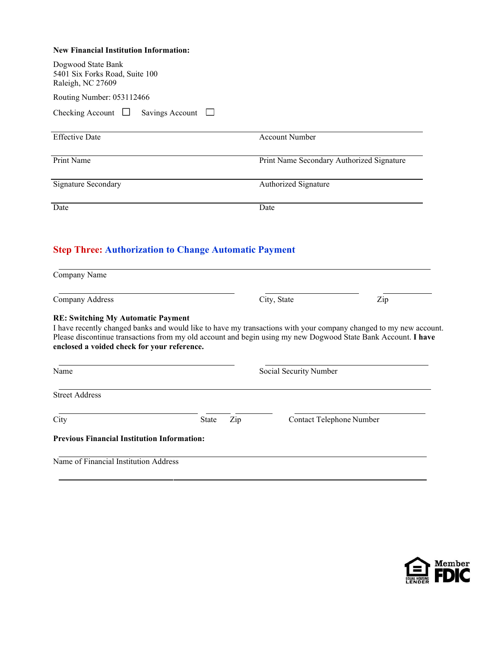#### **New Financial Institution Information:**

| Dogwood State Bank<br>5401 Six Forks Road, Suite 100<br>Raleigh, NC 27609                                                                                                         |                     |                                           |                          |  |
|-----------------------------------------------------------------------------------------------------------------------------------------------------------------------------------|---------------------|-------------------------------------------|--------------------------|--|
| Routing Number: 053112466                                                                                                                                                         |                     |                                           |                          |  |
| Checking Account $\Box$<br>Savings Account $\Box$                                                                                                                                 |                     |                                           |                          |  |
| <b>Effective Date</b>                                                                                                                                                             |                     | <b>Account Number</b>                     |                          |  |
| Print Name                                                                                                                                                                        |                     | Print Name Secondary Authorized Signature |                          |  |
| <b>Signature Secondary</b>                                                                                                                                                        |                     | Authorized Signature                      |                          |  |
| Date                                                                                                                                                                              |                     | Date                                      |                          |  |
| Company Name                                                                                                                                                                      |                     | City, State                               | Zip                      |  |
| Company Address<br><b>RE: Switching My Automatic Payment</b><br>I have recently changed banks and would like to have my transactions with your company changed to my new account. |                     |                                           |                          |  |
| Please discontinue transactions from my old account and begin using my new Dogwood State Bank Account. I have<br>enclosed a voided check for your reference.                      |                     |                                           |                          |  |
| Name                                                                                                                                                                              |                     | Social Security Number                    |                          |  |
| <b>Street Address</b>                                                                                                                                                             |                     |                                           |                          |  |
| City                                                                                                                                                                              | <b>State</b><br>Zip |                                           | Contact Telephone Number |  |
| <b>Previous Financial Institution Information:</b>                                                                                                                                |                     |                                           |                          |  |
| Name of Financial Institution Address                                                                                                                                             |                     |                                           |                          |  |

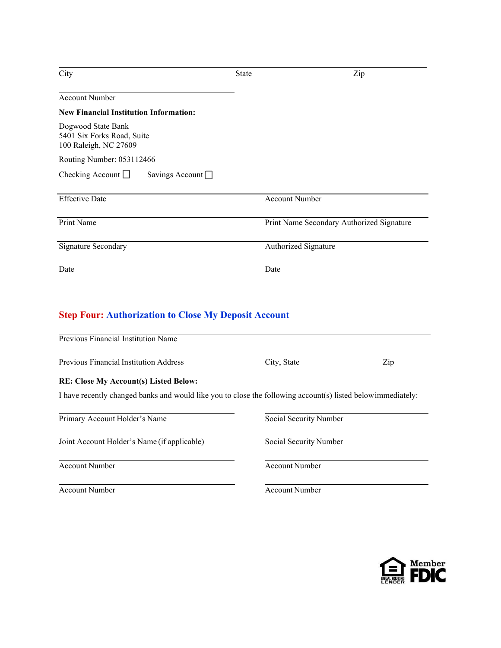| City                                                                      | State                 | Zip                                       |
|---------------------------------------------------------------------------|-----------------------|-------------------------------------------|
| <b>Account Number</b>                                                     |                       |                                           |
| <b>New Financial Institution Information:</b>                             |                       |                                           |
| Dogwood State Bank<br>5401 Six Forks Road, Suite<br>100 Raleigh, NC 27609 |                       |                                           |
| Routing Number: 053112466                                                 |                       |                                           |
| Checking Account $\Box$<br>Savings Account $\Box$                         |                       |                                           |
| <b>Effective Date</b>                                                     | <b>Account Number</b> |                                           |
| Print Name                                                                |                       | Print Name Secondary Authorized Signature |
| Signature Secondary                                                       | Authorized Signature  |                                           |
| Date                                                                      | Date                  |                                           |

# **Step Four: Authorization to Close My Deposit Account**

| City, State                                                                                                  | Zip |
|--------------------------------------------------------------------------------------------------------------|-----|
|                                                                                                              |     |
| I have recently changed banks and would like you to close the following account(s) listed below immediately: |     |
| Social Security Number                                                                                       |     |
| Social Security Number                                                                                       |     |
| <b>Account Number</b>                                                                                        |     |
|                                                                                                              |     |



#### Account Number Account Number